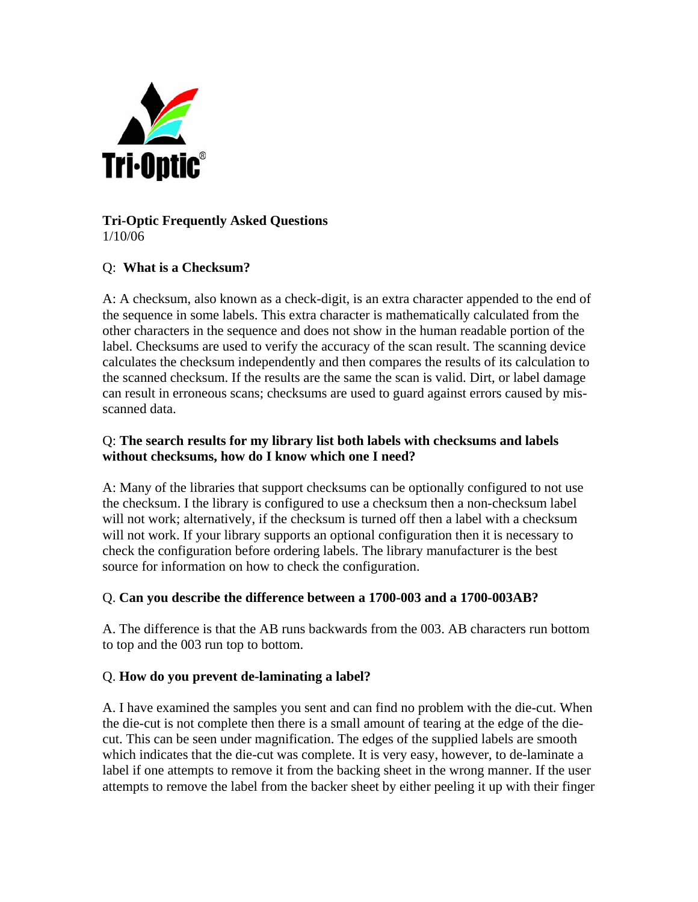

## **Tri-Optic Frequently Asked Questions**  1/10/06

## Q: **What is a Checksum?**

A: A checksum, also known as a check-digit, is an extra character appended to the end of the sequence in some labels. This extra character is mathematically calculated from the other characters in the sequence and does not show in the human readable portion of the label. Checksums are used to verify the accuracy of the scan result. The scanning device calculates the checksum independently and then compares the results of its calculation to the scanned checksum. If the results are the same the scan is valid. Dirt, or label damage can result in erroneous scans; checksums are used to guard against errors caused by misscanned data.

### Q: **The search results for my library list both labels with checksums and labels without checksums, how do I know which one I need?**

A: Many of the libraries that support checksums can be optionally configured to not use the checksum. I the library is configured to use a checksum then a non-checksum label will not work; alternatively, if the checksum is turned off then a label with a checksum will not work. If your library supports an optional configuration then it is necessary to check the configuration before ordering labels. The library manufacturer is the best source for information on how to check the configuration.

# Q. **Can you describe the difference between a 1700-003 and a 1700-003AB?**

A. The difference is that the AB runs backwards from the 003. AB characters run bottom to top and the 003 run top to bottom.

#### Q. **How do you prevent de-laminating a label?**

A. I have examined the samples you sent and can find no problem with the die-cut. When the die-cut is not complete then there is a small amount of tearing at the edge of the diecut. This can be seen under magnification. The edges of the supplied labels are smooth which indicates that the die-cut was complete. It is very easy, however, to de-laminate a label if one attempts to remove it from the backing sheet in the wrong manner. If the user attempts to remove the label from the backer sheet by either peeling it up with their finger